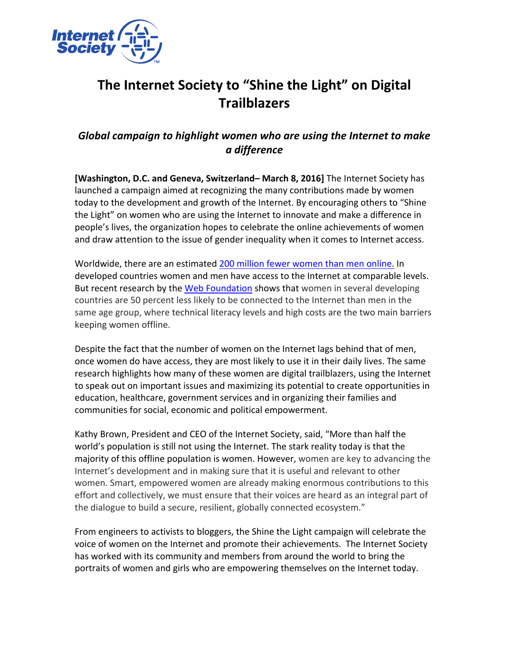

## The Internet Society to "Shine the Light" on Digital **Trailblazers**

## *Global campaign to highlight women who are using the Internet to make a difference*

**[Washington, D.C. and Geneva, Switzerland– March 8, 2016]** The Internet Society has launched a campaign aimed at recognizing the many contributions made by women today to the development and growth of the Internet. By encouraging others to "Shine the Light" on women who are using the Internet to innovate and make a difference in people's lives, the organization hopes to celebrate the online achievements of women and draw attention to the issue of gender inequality when it comes to Internet access.

Worldwide, there are an estimated 200 million fewer women than men online. In developed countries women and men have access to the Internet at comparable levels. But recent research by the Web Foundation shows that women in several developing countries are 50 percent less likely to be connected to the Internet than men in the same age group, where technical literacy levels and high costs are the two main barriers keeping women offline.

Despite the fact that the number of women on the Internet lags behind that of men, once women do have access, they are most likely to use it in their daily lives. The same research highlights how many of these women are digital trailblazers, using the Internet to speak out on important issues and maximizing its potential to create opportunities in education, healthcare, government services and in organizing their families and communities for social, economic and political empowerment.

Kathy Brown, President and CEO of the Internet Society, said, "More than half the world's population is still not using the Internet. The stark reality today is that the majority of this offline population is women. However, women are key to advancing the Internet's development and in making sure that it is useful and relevant to other women. Smart, empowered women are already making enormous contributions to this effort and collectively, we must ensure that their voices are heard as an integral part of the dialogue to build a secure, resilient, globally connected ecosystem."

From engineers to activists to bloggers, the Shine the Light campaign will celebrate the voice of women on the Internet and promote their achievements. The Internet Society has worked with its community and members from around the world to bring the portraits of women and girls who are empowering themselves on the Internet today.